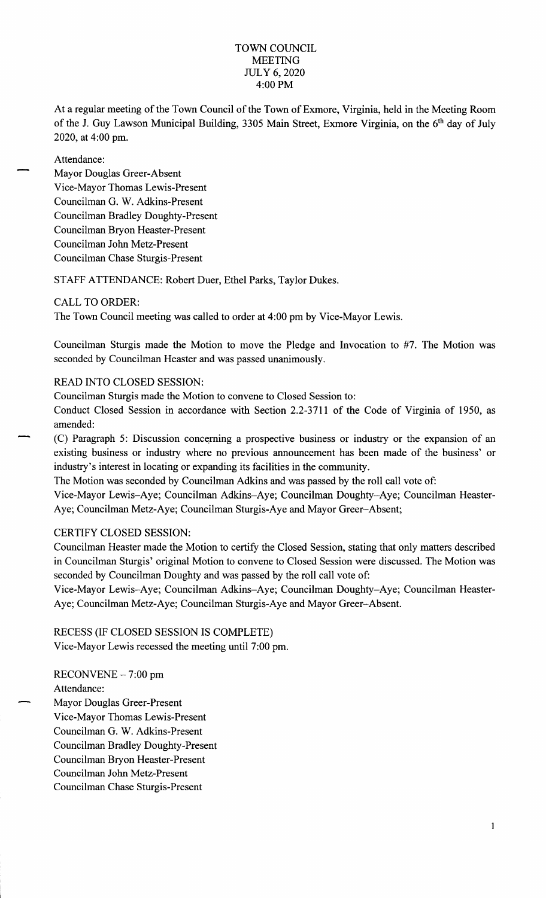#### TOWN COUNCIL MEETING JULY 6, 2020 4:00 PM

At a regular meeting of the Town Council of the Town of Exmore, Virginia, held in the Meeting Room of the J. Guy Lawson Municipal Building, 3305 Main Street, Exmore Virginia, on the 6<sup>th</sup> day of July 2020, at 4:00 pm.

Attendance:

Mayor Douglas Greer-Absent Vice-Mayor Thomas Lewis-Present Councilman G. W. Adkins-Present Councilman Bradley Doughty-Present Councilman Bryon Heaster-Present Councilman John Metz-Present Councilman Chase Sturgis-Present

STAFF ATTENDANCE: Robert Duer, Ethel Parks, Taylor Dukes.

# CALL TO ORDER:

The Town Council meeting was called to order at 4:00 pm by Vice-Mayor Lewis.

Councilman Sturgis made the Motion to move the Pledge and Invocation to #7. The Motion was seconded by Councilman Heaster and was passed unanimously.

# READ INTO CLOSED SESSION:

Councilman Sturgis made the Motion to convene to Closed Session to:

Conduct Closed Session in accordance with Section 2.2-3711 of the Code of Virginia of 1950, as amended:

(C) Paragraph 5: Discussion concerning a prospective business or industry or the expansion of an existing business or industry where no previous announcement has been made of the business' or industry's interest in locating or expanding its facilities in the community.

The Motion was seconded by Councilman Adkins and was passed by the roll call vote of:

Vice-Mayor Lewis-Aye; Councilman Adkins-Aye; Councilman Doughty-Aye; Councilman Heaster-Aye; Councilman Metz-Aye; Councilman Sturgis-Aye and Mayor Greer-Absent;

#### CERTIFY CLOSED SESSION:

Councilman Heaster made the Motion to certify the Closed Session, stating that only matters described in Councilman Sturgis' original Motion to convene to Closed Session were discussed. The Motion was seconded by Councilman Doughty and was passed by the roll call vote of:

Vice-Mayor Lewis-Aye; Councilman Adkins-Aye; Councilman Doughty-Aye; Councilman Heaster-Aye; Councilman Metz-Aye; Councilman Sturgis-Aye and Mayor Greer-Absent.

RECESS (IF CLOSED SESSION IS COMPLETE) Vice-Mayor Lewis recessed the meeting until 7:00 pm.

RECONVENE - 7: 00 pm Attendance: Mayor Douglas Greer-Present Vice-Mayor Thomas Lewis-Present Councilman G. W. Adkins-Present Councilman Bradley Doughty-Present Councilman Bryon Heaster-Present Councilman John Metz-Present Councilman Chase Sturgis-Present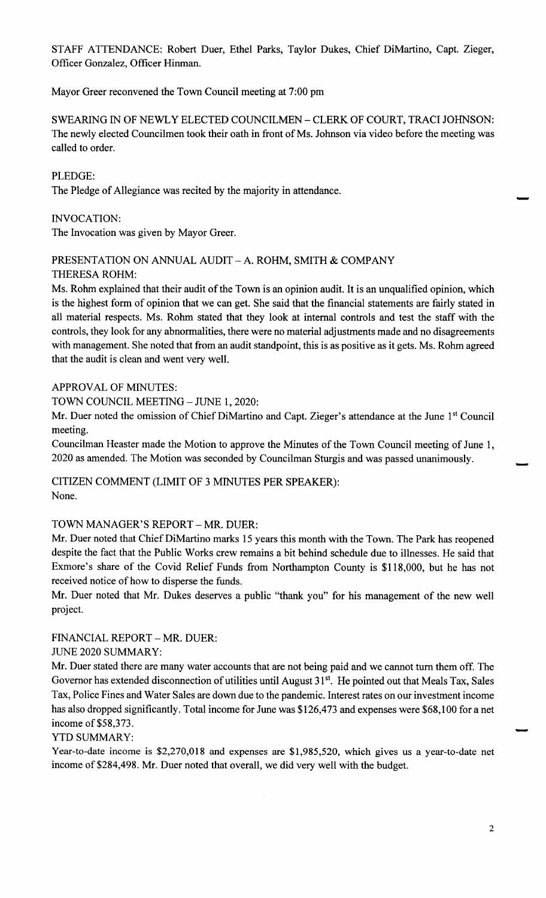STAFF ATTENDANCE: Robert Duer, Ethel Parks, Taylor Dukes, Chief DiMartino, Capt. Zieger, Officer Gonzalez, Officer Hinman.

Mayor Greer reconvened the Town Council meeting at 7:00 pm

SWEARING IN OF NEWLY ELECTED COUNCILMEN- CLERK OF COURT, TRACI JOHNSON: The newly elected Councilmen took their oath in front of Ms. Johnson via video before the meeting was called to order.

# PLEDGE:

The Pledge of Allegiance was recited by the majority in attendance.

# INVOCATION:

The Invocation was given by Mayor Greer.

# PRESENTATION ON ANNUAL AUDIT - A. ROHM, SMITH & COMPANY

#### THERESA ROHM:

Ms. Rohm explained that their audit of the Town is an opinion audit. It is an unqualified opinion, which is the highest form of opinion that we can get. She said that the financial statements are fairly stated in all material respects. Ms. Rohm stated that they look at internal controls and test the staff with the controls, they look for any abnormalities, there were no material adjustments made and no disagreements with management. She noted that from an audit standpoint, this is as positive as it gets. Ms. Rohm agreed that the audit is clean and went very well.

# APPROVAL OF MINUTES:

TOWN COUNCIL MEETING - JUNE 1, 2020:

Mr. Duer noted the omission of Chief DiMartino and Capt. Zieger's attendance at the June 1<sup>st</sup> Council meeting.

Councilman Heaster made the Motion to approve the Minutes of the Town Council meeting of June 1, 2020 as amended. The Motion was seconded by Councilman Sturgis and was passed unanimously.

CITIZEN COMMENT (LIMIT OF 3 MINUTES PER SPEAKER): None.

# TOWN MANAGER'S REPORT - MR. DUER:

Mr. Duer noted that Chief DiMartino marks 15 years this month with the Town. The Park has reopened despite the fact that the Public Works crew remains a bit behind schedule due to illnesses. He said that Exmore's share of the Covid Relief Funds from Northampton County is \$118,000, but he has not received notice of how to disperse the funds.

Mr. Duer noted that Mr. Dukes deserves a public "thank you" for his management of the new well project.

#### FINANCIAL REPORT - MR. DUER:

#### JUNE 2020 SUMMARY:

Mr. Duer stated there are many water accounts that are not being paid and we cannot turn them off. The Governor has extended disconnection of utilities until August 31<sup>st</sup>. He pointed out that Meals Tax, Sales Tax, Police Fines and Water Sales are down due to the pandemic. Interest rates on our investment income has also dropped significantly. Total income for June was \$126,473 and expenses were \$68,100 for a net income of \$58,373.

#### YTD SUMMARY:

Year-to-date income is \$2,270,018 and expenses are \$1,985,520, which gives us a year-to-date net income of \$284,498. Mr. Duer noted that overall, we did very well with the budget.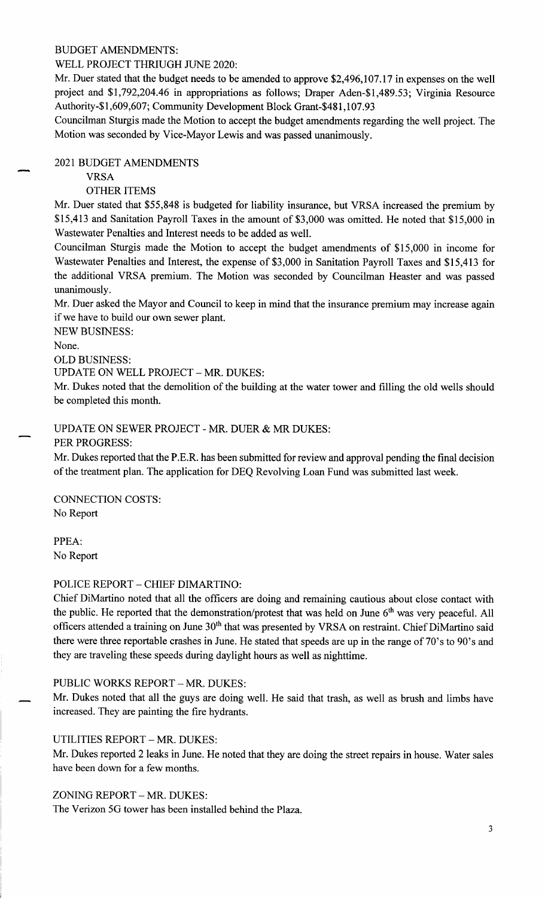#### BUDGET AMENDMENTS:

# WELL PROJECT THRIUGH JUNE 2020:

Mr. Duer stated that the budget needs to be amended to approve \$2,496,107.17 in expenses on the well project and \$1,792,204.46 in appropriations as follows; Draper Aden-\$1,489.53; Virginia Resource Authority-\$1,609,607; Community Development Block Grant-\$481,107.93

Councilman Sturgis made the Motion to accept the budget amendments regarding the well project. The Motion was seconded by Vice-Mayor Lewis and was passed unanimously.

# 2021 BUDGET AMENDMENTS

# VRSA

# OTHER ITEMS

Mr. Duer stated that \$55,848 is budgeted for liability insurance, but VRSA increased the premium by \$15,413 and Sanitation Payroll Taxes in the amount of \$3,000 was omitted. He noted that \$15,000 in Wastewater Penalties and Interest needs to be added as well.

Councilman Sturgis made the Motion to accept the budget amendments of \$15,000 in income for Wastewater Penalties and Interest, the expense of \$3,000 in Sanitation Payroll Taxes and \$15,413 for the additional VRSA premium. The Motion was seconded by Councilman Heaster and was passed unanimously.

Mr. Duer asked the Mayor and Council to keep in mind that the insurance premium may increase again if we have to build our own sewer plant.

NEW BUSINESS:

None.

OLD BUSINESS:

UPDATE ON WELL PROJECT - MR. DUKES:

Mr. Dukes noted that the demolition of the building at the water tower and filling the old wells should be completed this month.

# UPDATE ON SEWER PROJECT - MR. DUER & MR DUKES:

PER PROGRESS:

Mr. Dukes reported that the P.E.R. has been submitted for review and approval pending the final decision of the treatment plan. The application for DEQ Revolving Loan Fund was submitted last week.

CONNECTION COSTS: No Report

PPEA: No Report

#### POLICE REPORT - CHIEF DIMARTINO:

Chief DiMartino noted that all the officers are doing and remaining cautious about close contact with the public. He reported that the demonstration/protest that was held on June 6<sup>th</sup> was very peaceful. All officers attended a training on June 30<sup>th</sup> that was presented by VRSA on restraint. Chief DiMartino said there were three reportable crashes in June. He stated that speeds are up in the range of 70's to 90's and they are traveling these speeds during daylight hours as well as nighttime.

#### PUBLIC WORKS REPORT - MR. DUKES:

Mr. Dukes noted that all the guys are doing well. He said that trash, as well as brush and limbs have increased. They are painting the fire hydrants.

# UTILITIES REPORT - MR. DUKES:

Mr. Dukes reported 2 leaks in June. He noted that they are doing the street repairs in house. Water sales have been down for a few months.

# ZONING REPORT - MR. DUKES:

The Verizon 5G tower has been installed behind the Plaza.